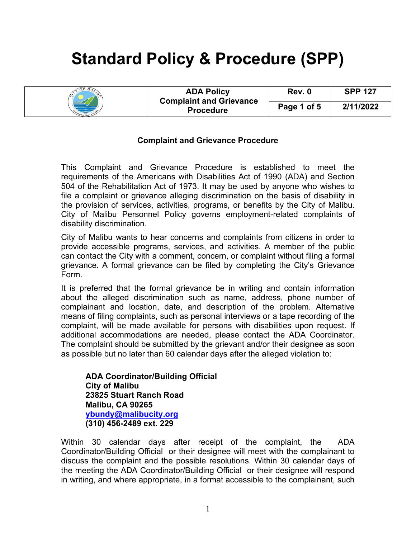## **Standard Policy & Procedure (SPP)**

|  | <b>ADA Policy</b><br><b>Complaint and Grievance</b><br><b>Procedure</b> | Rev. 0      | <b>SPP 127</b> |
|--|-------------------------------------------------------------------------|-------------|----------------|
|  |                                                                         | Page 1 of 5 | 2/11/2022      |

## **Complaint and Grievance Procedure**

This Complaint and Grievance Procedure is established to meet the requirements of the Americans with Disabilities Act of 1990 (ADA) and Section 504 of the Rehabilitation Act of 1973. It may be used by anyone who wishes to file a complaint or grievance alleging discrimination on the basis of disability in the provision of services, activities, programs, or benefits by the City of Malibu. City of Malibu Personnel Policy governs employment-related complaints of disability discrimination.

City of Malibu wants to hear concerns and complaints from citizens in order to provide accessible programs, services, and activities. A member of the public can contact the City with a comment, concern, or complaint without filing a formal grievance. A formal grievance can be filed by completing the City's Grievance Form.

It is preferred that the formal grievance be in writing and contain information about the alleged discrimination such as name, address, phone number of complainant and location, date, and description of the problem. Alternative means of filing complaints, such as personal interviews or a tape recording of the complaint, will be made available for persons with disabilities upon request. If additional accommodations are needed, please contact the ADA Coordinator. The complaint should be submitted by the grievant and/or their designee as soon as possible but no later than 60 calendar days after the alleged violation to:

**ADA Coordinator/Building Official City of Malibu 23825 Stuart Ranch Road Malibu, CA 90265 [ybundy@malibucity.org](mailto:ybundy@malibucity.org) (310) 456-2489 ext. 229**

Within 30 calendar days after receipt of the complaint, the ADA Coordinator/Building Official or their designee will meet with the complainant to discuss the complaint and the possible resolutions. Within 30 calendar days of the meeting the ADA Coordinator/Building Official or their designee will respond in writing, and where appropriate, in a format accessible to the complainant, such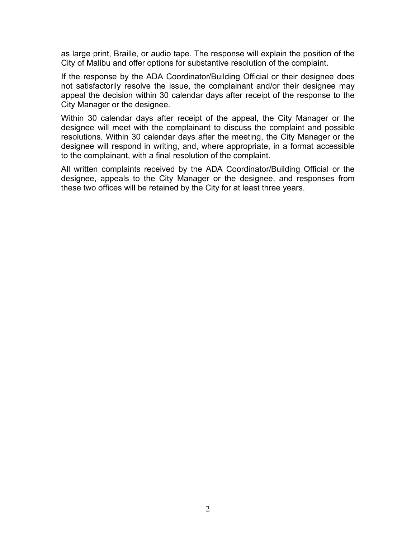as large print, Braille, or audio tape. The response will explain the position of the City of Malibu and offer options for substantive resolution of the complaint.

If the response by the ADA Coordinator/Building Official or their designee does not satisfactorily resolve the issue, the complainant and/or their designee may appeal the decision within 30 calendar days after receipt of the response to the City Manager or the designee.

Within 30 calendar days after receipt of the appeal, the City Manager or the designee will meet with the complainant to discuss the complaint and possible resolutions. Within 30 calendar days after the meeting, the City Manager or the designee will respond in writing, and, where appropriate, in a format accessible to the complainant, with a final resolution of the complaint.

All written complaints received by the ADA Coordinator/Building Official or the designee, appeals to the City Manager or the designee, and responses from these two offices will be retained by the City for at least three years.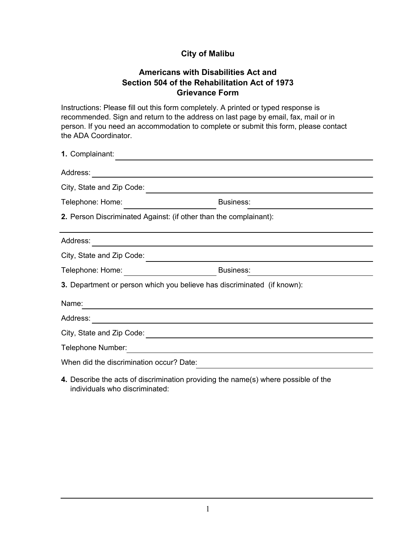## **City of Malibu**

## **Americans with Disabilities Act and Section 504 of the Rehabilitation Act of 1973 Grievance Form**

Instructions: Please fill out this form completely. A printed or typed response is recommended. Sign and return to the address on last page by email, fax, mail or in person. If you need an accommodation to complete or submit this form, please contact the ADA Coordinator.

| 1. Complainant:                                                   |                                                                                                                      |  |
|-------------------------------------------------------------------|----------------------------------------------------------------------------------------------------------------------|--|
| Address:                                                          | <u> 1989 - Johann Stoff, fransk politik (d. 1989)</u>                                                                |  |
| City, State and Zip Code:                                         |                                                                                                                      |  |
| Telephone: Home:                                                  | <b>Business:</b>                                                                                                     |  |
| 2. Person Discriminated Against: (if other than the complainant): |                                                                                                                      |  |
| Address:                                                          |                                                                                                                      |  |
| City, State and Zip Code:                                         |                                                                                                                      |  |
| Telephone: Home: _________________________                        | Business:                                                                                                            |  |
|                                                                   | 3. Department or person which you believe has discriminated (if known):                                              |  |
| Name:                                                             |                                                                                                                      |  |
| Address:                                                          | <u> 1989 - Jan Sterlinger, skriuwer fan it ferskearre fan de Amerikaanske komme fan de Amerikaanske komme fan de</u> |  |
|                                                                   |                                                                                                                      |  |
| Telephone Number:                                                 | <u> 1989 - Johann Stein, mars an deutscher Stein und der Stein und der Stein und der Stein und der Stein und der</u> |  |
| When did the discrimination occur? Date:                          |                                                                                                                      |  |
|                                                                   | $\blacksquare$                                                                                                       |  |

**4.** Describe the acts of discrimination providing the name(s) where possible of the individuals who discriminated: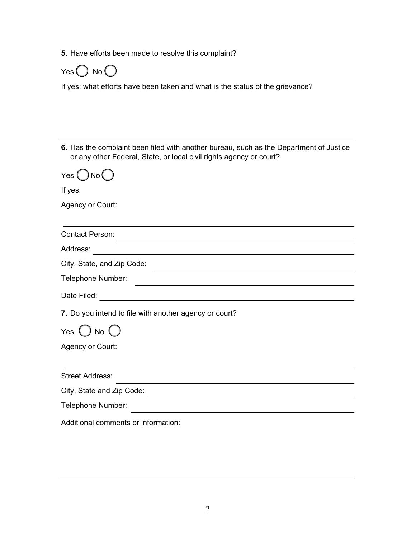**5.** Have efforts been made to resolve this complaint?



If yes: what efforts have been taken and what is the status of the grievance?

**6.** Has the complaint been filed with another bureau, such as the Department of Justice or any other Federal, State, or local civil rights agency or court?  $Yes()No()$ If yes: Agency or Court: Contact Person: Address: City, State, and Zip Code: Telephone Number: Date Filed: **7.** Do you intend to file with another agency or court? Yes  $()$  No  $()$ Agency or Court: Street Address: City, State and Zip Code: Telephone Number: Additional comments or information: